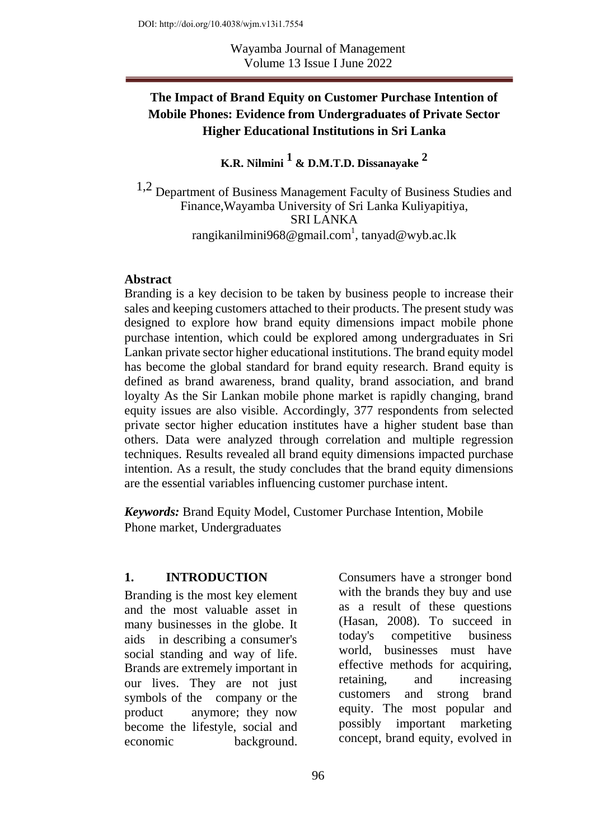# **The Impact of Brand Equity on Customer Purchase Intention of Mobile Phones: Evidence from Undergraduates of Private Sector Higher Educational Institutions in Sri Lanka**

**K.R. Nilmini 1 & D.M.T.D. Dissanayake 2** 

1,2 Department of Business Management Faculty of Business Studies and Finance,Wayamba University of Sri Lanka Kuliyapitiya, SRI LANKA rangikanilmini968@gmail.com $^{\rm l}$ , [tanyad@wyb.ac.lk](mailto:tanyad@wyb.ac.lk)

#### **Abstract**

Branding is a key decision to be taken by business people to increase their sales and keeping customers attached to their products. The present study was designed to explore how brand equity dimensions impact mobile phone purchase intention, which could be explored among undergraduates in Sri Lankan private sector higher educational institutions. The brand equity model has become the global standard for brand equity research. Brand equity is defined as brand awareness, brand quality, brand association, and brand loyalty As the Sir Lankan mobile phone market is rapidly changing, brand equity issues are also visible. Accordingly, 377 respondents from selected private sector higher education institutes have a higher student base than others. Data were analyzed through correlation and multiple regression techniques. Results revealed all brand equity dimensions impacted purchase intention. As a result, the study concludes that the brand equity dimensions are the essential variables influencing customer purchase intent.

*Keywords:* Brand Equity Model, Customer Purchase Intention, Mobile Phone market, Undergraduates

#### **1. INTRODUCTION**

Branding is the most key element and the most valuable asset in many businesses in the globe. It aids in describing a consumer's social standing and way of life. Brands are extremely important in our lives. They are not just symbols of the company or the product anymore; they now become the lifestyle, social and economic background.

Consumers have a stronger bond with the brands they buy and use as a result of these questions (Hasan, 2008). To succeed in today's competitive business world, businesses must have effective methods for acquiring, retaining, and increasing customers and strong brand equity. The most popular and possibly important marketing concept, brand equity, evolved in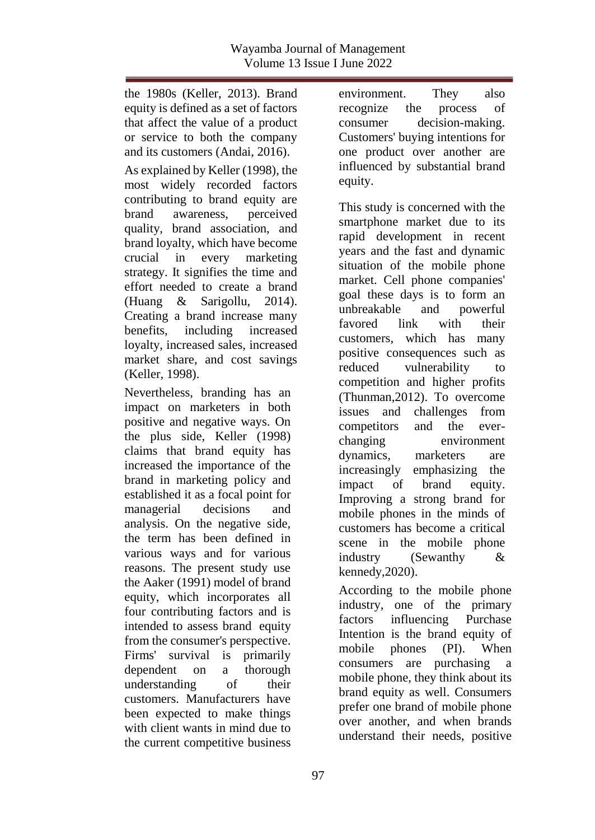the 1980s (Keller, 2013). Brand equity is defined as a set of factors that affect the value of a product or service to both the company and its customers (Andai, 2016).

As explained by Keller (1998), the most widely recorded factors contributing to brand equity are brand awareness, perceived quality, brand association, and brand loyalty, which have become crucial in every marketing strategy. It signifies the time and effort needed to create a brand (Huang & Sarigollu, 2014). Creating a brand increase many benefits, including increased loyalty, increased sales, increased market share, and cost savings (Keller, 1998).

Nevertheless, branding has an impact on marketers in both positive and negative ways. On the plus side, Keller (1998) claims that brand equity has increased the importance of the brand in marketing policy and established it as a focal point for managerial decisions and analysis. On the negative side, the term has been defined in various ways and for various reasons. The present study use the Aaker (1991) model of brand equity, which incorporates all four contributing factors and is intended to assess brand equity from the consumer's perspective. Firms' survival is primarily dependent on a thorough understanding of their customers. Manufacturers have been expected to make things with client wants in mind due to the current competitive business

environment. They also recognize the process of consumer decision-making. Customers' buying intentions for one product over another are influenced by substantial brand equity.

This study is concerned with the smartphone market due to its rapid development in recent years and the fast and dynamic situation of the mobile phone market. Cell phone companies' goal these days is to form an unbreakable and powerful favored link with their customers, which has many positive consequences such as reduced vulnerability to competition and higher profits (Thunman,2012). To overcome issues and challenges from competitors and the everchanging environment dynamics, marketers are increasingly emphasizing the impact of brand equity. Improving a strong brand for mobile phones in the minds of customers has become a critical scene in the mobile phone industry (Sewanthy & kennedy,2020).

According to the mobile phone industry, one of the primary factors influencing Purchase Intention is the brand equity of mobile phones (PI). When consumers are purchasing a mobile phone, they think about its brand equity as well. Consumers prefer one brand of mobile phone over another, and when brands understand their needs, positive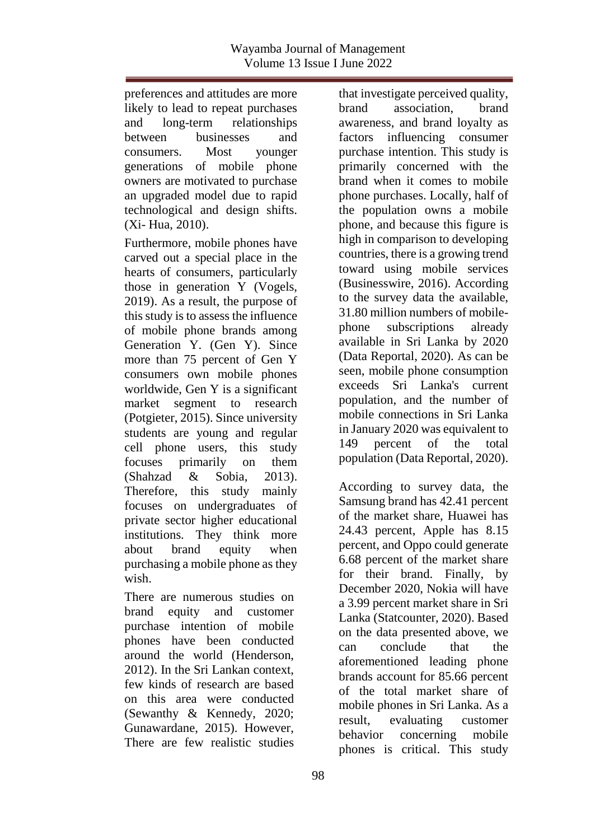preferences and attitudes are more likely to lead to repeat purchases and long-term relationships between businesses and consumers. Most younger generations of mobile phone owners are motivated to purchase an upgraded model due to rapid technological and design shifts. (Xi- Hua, 2010).

Furthermore, mobile phones have carved out a special place in the hearts of consumers, particularly those in generation Y (Vogels, 2019). As a result, the purpose of this study is to assess the influence of mobile phone brands among Generation Y. (Gen Y). Since more than 75 percent of Gen Y consumers own mobile phones worldwide, Gen Y is a significant market segment to research (Potgieter, 2015). Since university students are young and regular cell phone users, this study focuses primarily on them (Shahzad & Sobia, 2013). Therefore, this study mainly focuses on undergraduates of private sector higher educational institutions. They think more about brand equity when purchasing a mobile phone as they wish.

There are numerous studies on brand equity and customer purchase intention of mobile phones have been conducted around the world (Henderson, 2012). In the Sri Lankan context, few kinds of research are based on this area were conducted (Sewanthy & Kennedy, 2020; Gunawardane, 2015). However, There are few realistic studies

that investigate perceived quality, brand association, brand awareness, and brand loyalty as factors influencing consumer purchase intention. This study is primarily concerned with the brand when it comes to mobile phone purchases. Locally, half of the population owns a mobile phone, and because this figure is high in comparison to developing countries, there is a growing trend toward using mobile services (Businesswire, 2016). According to the survey data the available, 31.80 million numbers of mobilephone subscriptions already available in Sri Lanka by 2020 (Data Reportal, 2020). As can be seen, mobile phone consumption exceeds Sri Lanka's current population, and the number of mobile connections in Sri Lanka in January 2020 was equivalent to 149 percent of the total population (Data Reportal, 2020).

According to survey data, the Samsung brand has 42.41 percent of the market share, Huawei has 24.43 percent, Apple has 8.15 percent, and Oppo could generate 6.68 percent of the market share for their brand. Finally, by December 2020, Nokia will have a 3.99 percent market share in Sri Lanka (Statcounter, 2020). Based on the data presented above, we can conclude that the aforementioned leading phone brands account for 85.66 percent of the total market share of mobile phones in Sri Lanka. As a result, evaluating customer behavior concerning mobile phones is critical. This study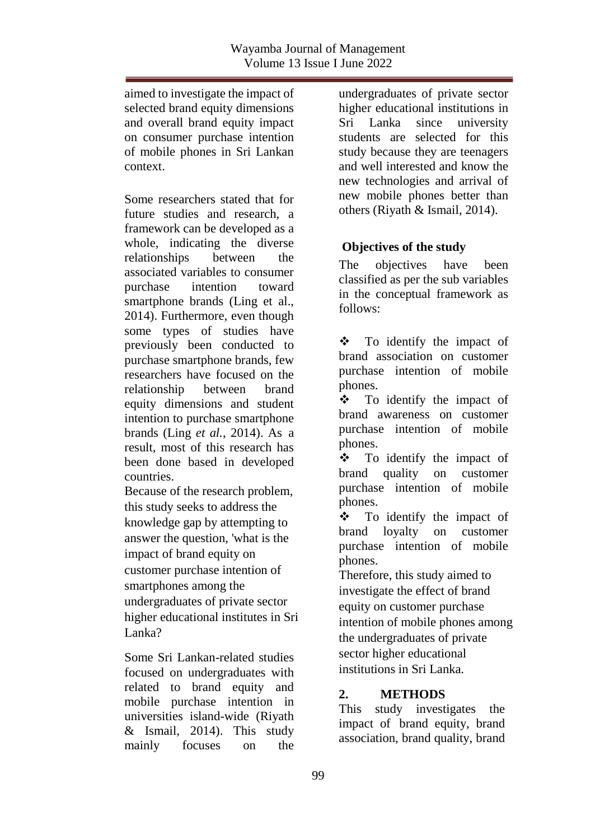aimed to investigate the impact of selected brand equity dimensions and overall brand equity impact on consumer purchase intention of mobile phones in Sri Lankan context.

Some researchers stated that for future studies and research, a framework can be developed as a whole, indicating the diverse relationships between the associated variables to consumer purchase intention toward smartphone brands (Ling et al., 2014). Furthermore, even though some types of studies have previously been conducted to purchase smartphone brands, few researchers have focused on the relationship between brand equity dimensions and student intention to purchase smartphone brands (Ling *et al.*, 2014). As a result, most of this research has been done based in developed countries.

Because of the research problem, this study seeks to address the knowledge gap by attempting to answer the question, 'what is the impact of brand equity on customer purchase intention of smartphones among the undergraduates of private sector higher educational institutes in Sri Lanka?

Some Sri Lankan-related studies focused on undergraduates with related to brand equity and mobile purchase intention in universities island-wide (Riyath & Ismail, 2014). This study mainly focuses on the

undergraduates of private sector higher educational institutions in Sri Lanka since university students are selected for this study because they are teenagers and well interested and know the new technologies and arrival of new mobile phones better than others (Riyath & Ismail, 2014).

# **Objectives of the study**

The objectives have been classified as per the sub variables in the conceptual framework as follows:

 $\div$  To identify the impact of brand association on customer purchase intention of mobile phones.

 $\div$  To identify the impact of brand awareness on customer purchase intention of mobile phones.

 $\div$  To identify the impact of brand quality on customer purchase intention of mobile phones.

 $\div$  To identify the impact of brand loyalty on customer purchase intention of mobile phones.

Therefore, this study aimed to investigate the effect of brand equity on customer purchase intention of mobile phones among the undergraduates of private sector higher educational institutions in Sri Lanka.

## **2. METHODS**

This study investigates the impact of brand equity, brand association, brand quality, brand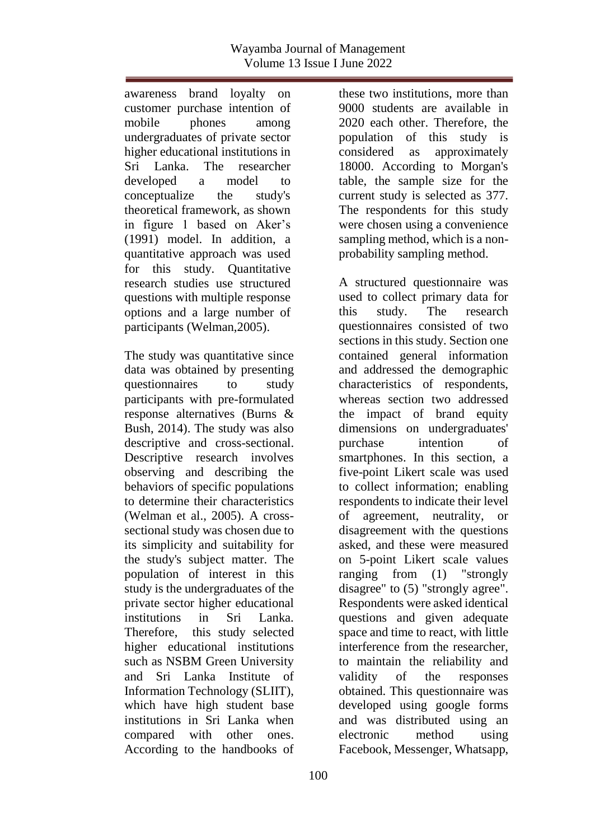awareness brand loyalty on customer purchase intention of mobile phones among undergraduates of private sector higher educational institutions in Sri Lanka. The researcher developed a model to conceptualize the study's theoretical framework, as shown in figure 1 based on Aker's (1991) model. In addition, a quantitative approach was used for this study. Quantitative research studies use structured questions with multiple response options and a large number of participants (Welman,2005).

The study was quantitative since data was obtained by presenting questionnaires to study participants with pre-formulated response alternatives (Burns & Bush, 2014). The study was also descriptive and cross-sectional. Descriptive research involves observing and describing the behaviors of specific populations to determine their characteristics (Welman et al., 2005). A crosssectional study was chosen due to its simplicity and suitability for the study's subject matter. The population of interest in this study is the undergraduates of the private sector higher educational institutions in Sri Lanka. Therefore, this study selected higher educational institutions such as NSBM Green University and Sri Lanka Institute of Information Technology (SLIIT), which have high student base institutions in Sri Lanka when compared with other ones. According to the handbooks of

these two institutions, more than 9000 students are available in 2020 each other. Therefore, the population of this study is considered as approximately 18000. According to Morgan's table, the sample size for the current study is selected as 377. The respondents for this study were chosen using a convenience sampling method, which is a nonprobability sampling method.

A structured questionnaire was used to collect primary data for this study. The research questionnaires consisted of two sections in this study. Section one contained general information and addressed the demographic characteristics of respondents, whereas section two addressed the impact of brand equity dimensions on undergraduates' purchase intention of smartphones. In this section, a five-point Likert scale was used to collect information; enabling respondents to indicate their level of agreement, neutrality, or disagreement with the questions asked, and these were measured on 5-point Likert scale values ranging from (1) "strongly disagree" to (5) "strongly agree". Respondents were asked identical questions and given adequate space and time to react, with little interference from the researcher, to maintain the reliability and validity of the responses obtained. This questionnaire was developed using google forms and was distributed using an electronic method using Facebook, Messenger, Whatsapp,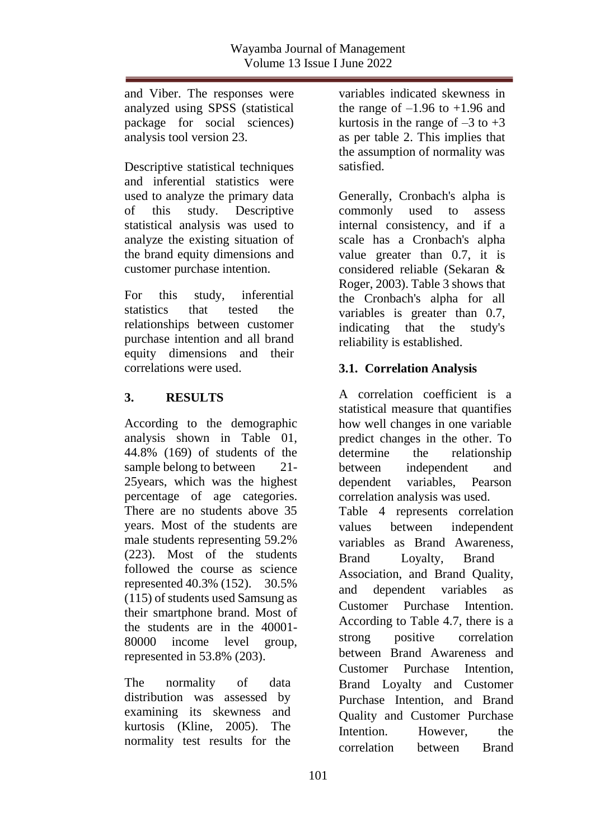and Viber. The responses were analyzed using SPSS (statistical package for social sciences) analysis tool version 23.

Descriptive statistical techniques and inferential statistics were used to analyze the primary data of this study. Descriptive statistical analysis was used to analyze the existing situation of the brand equity dimensions and customer purchase intention.

For this study, inferential statistics that tested the relationships between customer purchase intention and all brand equity dimensions and their correlations were used.

# **3. RESULTS**

According to the demographic analysis shown in Table 01, 44.8% (169) of students of the sample belong to between 21-25years, which was the highest percentage of age categories. There are no students above 35 years. Most of the students are male students representing 59.2% (223). Most of the students followed the course as science represented 40.3% (152). 30.5% (115) of students used Samsung as their smartphone brand. Most of the students are in the 40001- 80000 income level group, represented in 53.8% (203).

The normality of data distribution was assessed by examining its skewness and kurtosis (Kline, 2005). The normality test results for the variables indicated skewness in the range of  $-1.96$  to  $+1.96$  and kurtosis in the range of  $-3$  to  $+3$ as per table 2. This implies that the assumption of normality was satisfied.

Generally, Cronbach's alpha is commonly used to assess internal consistency, and if a scale has a Cronbach's alpha value greater than 0.7, it is considered reliable (Sekaran & Roger, 2003). Table 3 shows that the Cronbach's alpha for all variables is greater than 0.7, indicating that the study's reliability is established.

# **3.1. Correlation Analysis**

A correlation coefficient is a statistical measure that quantifies how well changes in one variable predict changes in the other. To determine the relationship between independent and dependent variables, Pearson correlation analysis was used. Table 4 represents correlation values between independent variables as Brand Awareness, Brand Loyalty, Brand Association, and Brand Quality, and dependent variables as Customer Purchase Intention. According to Table 4.7, there is a strong positive correlation between Brand Awareness and Customer Purchase Intention, Brand Loyalty and Customer Purchase Intention, and Brand Quality and Customer Purchase Intention. However, the correlation between Brand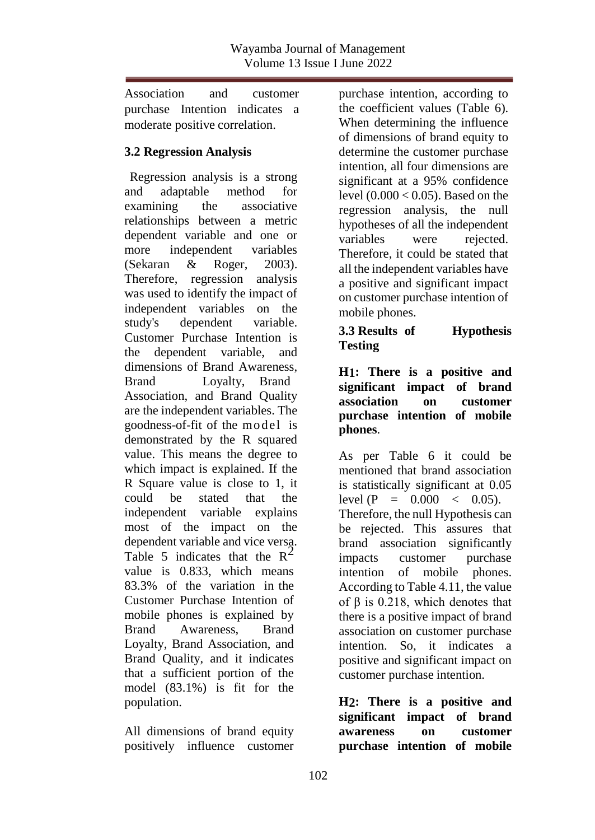Association and customer purchase Intention indicates a moderate positive correlation.

# **3.2 Regression Analysis**

Regression analysis is a strong and adaptable method for examining the associative relationships between a metric dependent variable and one or more independent variables (Sekaran & Roger, 2003). Therefore, regression analysis was used to identify the impact of independent variables on the study's dependent variable. Customer Purchase Intention is the dependent variable, and dimensions of Brand Awareness, Brand Loyalty, Brand Association, and Brand Quality are the independent variables. The goodness-of-fit of the model is demonstrated by the R squared value. This means the degree to which impact is explained. If the R Square value is close to 1, it could be stated that the independent variable explains most of the impact on the dependent variable and vice versa. Table 5 indicates that the  $R^2$ value is 0.833, which means 83.3% of the variation in the Customer Purchase Intention of mobile phones is explained by Brand Awareness, Brand Loyalty, Brand Association, and Brand Quality, and it indicates that a sufficient portion of the model (83.1%) is fit for the population.

All dimensions of brand equity positively influence customer purchase intention, according to the coefficient values (Table 6). When determining the influence of dimensions of brand equity to determine the customer purchase intention, all four dimensions are significant at a 95% confidence level  $(0.000 < 0.05)$ . Based on the regression analysis, the null hypotheses of all the independent variables were rejected. Therefore, it could be stated that all the independent variables have a positive and significant impact on customer purchase intention of mobile phones.

### **3.3 Results of Hypothesis Testing**

### **H1: There is a positive and significant impact of brand association on customer purchase intention of mobile phones**.

As per Table 6 it could be mentioned that brand association is statistically significant at 0.05 level  $(P = 0.000 < 0.05)$ . Therefore, the null Hypothesis can be rejected. This assures that brand association significantly impacts customer purchase intention of mobile phones. According to Table 4.11, the value of  $β$  is 0.218, which denotes that there is a positive impact of brand association on customer purchase intention. So, it indicates a positive and significant impact on customer purchase intention.

**H2: There is a positive and significant impact of brand awareness on customer purchase intention of mobile**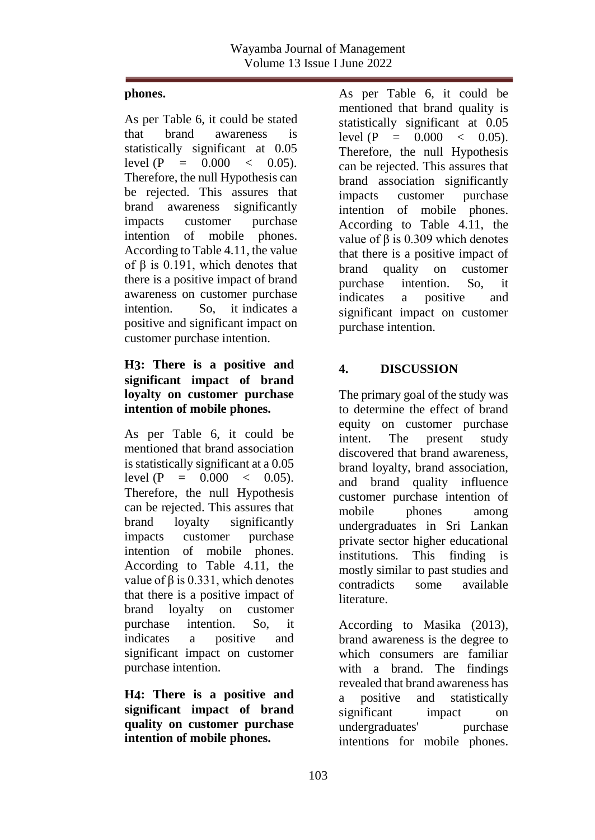### **phones.**

As per Table 6, it could be stated that brand awareness is statistically significant at 0.05 level  $(P = 0.000 \lt 0.05)$ . Therefore, the null Hypothesis can be rejected. This assures that brand awareness significantly impacts customer purchase intention of mobile phones. According to Table 4.11, the value of β is 0.191, which denotes that there is a positive impact of brand awareness on customer purchase intention. So, it indicates a positive and significant impact on customer purchase intention.

## **H3: There is a positive and significant impact of brand loyalty on customer purchase intention of mobile phones.**

As per Table 6, it could be mentioned that brand association is statistically significant at a 0.05 level  $(P = 0.000 \le 0.05)$ . Therefore, the null Hypothesis can be rejected. This assures that brand loyalty significantly impacts customer purchase intention of mobile phones. According to Table 4.11, the value of  $β$  is 0.331, which denotes that there is a positive impact of brand loyalty on customer purchase intention. So, it indicates a positive and significant impact on customer purchase intention.

**H4: There is a positive and significant impact of brand quality on customer purchase intention of mobile phones.**

As per Table 6, it could be mentioned that brand quality is statistically significant at 0.05 level  $(P = 0.000 < 0.05)$ . Therefore, the null Hypothesis can be rejected. This assures that brand association significantly impacts customer purchase intention of mobile phones. According to Table 4.11, the value of β is 0.309 which denotes that there is a positive impact of brand quality on customer purchase intention. So, it indicates a positive and significant impact on customer purchase intention.

# **4. DISCUSSION**

The primary goal of the study was to determine the effect of brand equity on customer purchase intent. The present study discovered that brand awareness, brand loyalty, brand association, and brand quality influence customer purchase intention of mobile phones among undergraduates in Sri Lankan private sector higher educational institutions. This finding is mostly similar to past studies and contradicts some available literature.

According to Masika (2013), brand awareness is the degree to which consumers are familiar with a brand. The findings revealed that brand awareness has a positive and statistically significant impact on undergraduates' purchase intentions for mobile phones.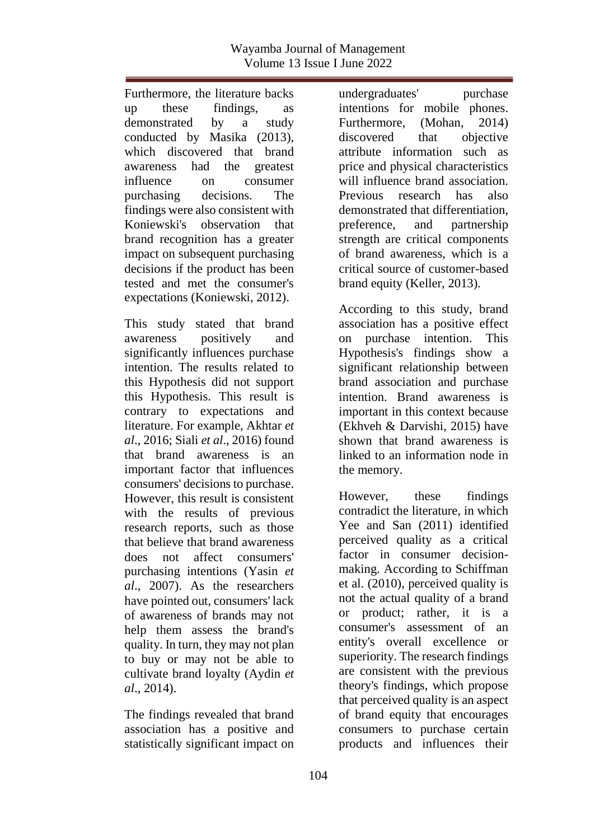Furthermore, the literature backs up these findings, as demonstrated by a study conducted by Masika (2013), which discovered that brand awareness had the greatest influence on consumer purchasing decisions. The findings were also consistent with Koniewski's observation that brand recognition has a greater impact on subsequent purchasing decisions if the product has been tested and met the consumer's expectations (Koniewski, 2012).

This study stated that brand awareness positively and significantly influences purchase intention. The results related to this Hypothesis did not support this Hypothesis. This result is contrary to expectations and literature. For example, Akhtar *et al*., 2016; Siali *et al*., 2016) found that brand awareness is an important factor that influences consumers' decisions to purchase. However, this result is consistent with the results of previous research reports, such as those that believe that brand awareness does not affect consumers' purchasing intentions (Yasin *et al*., 2007). As the researchers have pointed out, consumers' lack of awareness of brands may not help them assess the brand's quality. In turn, they may not plan to buy or may not be able to cultivate brand loyalty (Aydin *et al*., 2014).

The findings revealed that brand association has a positive and statistically significant impact on

undergraduates' purchase intentions for mobile phones. Furthermore, (Mohan, 2014) discovered that objective attribute information such as price and physical characteristics will influence brand association. Previous research has also demonstrated that differentiation, preference, and partnership strength are critical components of brand awareness, which is a critical source of customer-based brand equity (Keller, 2013).

According to this study, brand association has a positive effect on purchase intention. This Hypothesis's findings show a significant relationship between brand association and purchase intention. Brand awareness is important in this context because (Ekhveh & Darvishi, 2015) have shown that brand awareness is linked to an information node in the memory.

However, these findings contradict the literature, in which Yee and San (2011) identified perceived quality as a critical factor in consumer decisionmaking. According to Schiffman et al. (2010), perceived quality is not the actual quality of a brand or product; rather, it is a consumer's assessment of an entity's overall excellence or superiority. The research findings are consistent with the previous theory's findings, which propose that perceived quality is an aspect of brand equity that encourages consumers to purchase certain products and influences their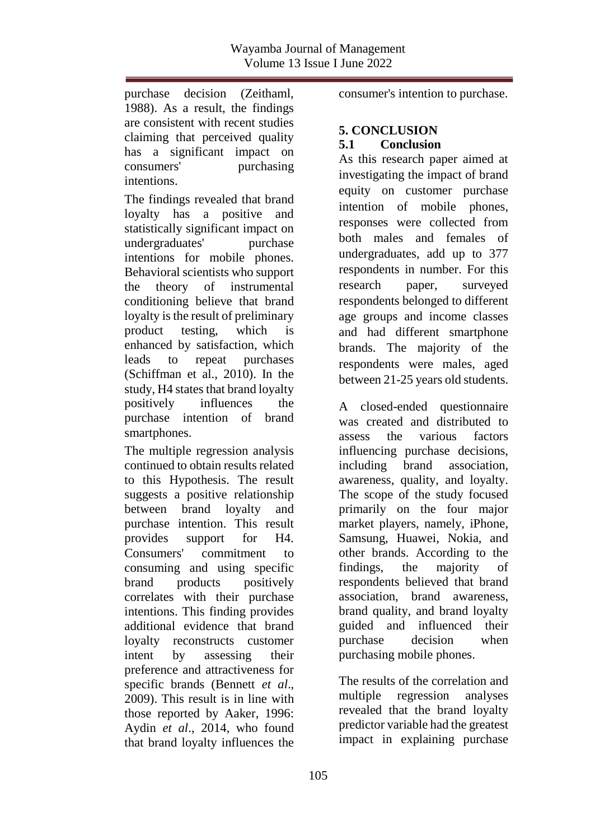purchase decision (Zeithaml, 1988). As a result, the findings are consistent with recent studies claiming that perceived quality has a significant impact on consumers' purchasing intentions.

The findings revealed that brand loyalty has a positive and statistically significant impact on undergraduates' purchase intentions for mobile phones. Behavioral scientists who support the theory of instrumental conditioning believe that brand loyalty is the result of preliminary product testing, which is enhanced by satisfaction, which leads to repeat purchases (Schiffman et al., 2010). In the study, H4 states that brand loyalty positively influences the purchase intention of brand smartphones.

The multiple regression analysis continued to obtain results related to this Hypothesis. The result suggests a positive relationship between brand loyalty and purchase intention. This result provides support for H4. Consumers' commitment to consuming and using specific brand products positively correlates with their purchase intentions. This finding provides additional evidence that brand loyalty reconstructs customer intent by assessing their preference and attractiveness for specific brands (Bennett *et al*., 2009). This result is in line with those reported by Aaker, 1996: Aydin *et al*., 2014, who found that brand loyalty influences the

consumer's intention to purchase.

### **5. CONCLUSION 5.1 Conclusion**

As this research paper aimed at investigating the impact of brand equity on customer purchase intention of mobile phones, responses were collected from both males and females of undergraduates, add up to 377 respondents in number. For this research paper, surveyed respondents belonged to different age groups and income classes and had different smartphone brands. The majority of the respondents were males, aged between 21-25 years old students.

A closed-ended questionnaire was created and distributed to assess the various factors influencing purchase decisions, including brand association, awareness, quality, and loyalty. The scope of the study focused primarily on the four major market players, namely, iPhone, Samsung, Huawei, Nokia, and other brands. According to the findings, the majority of respondents believed that brand association, brand awareness, brand quality, and brand loyalty guided and influenced their purchase decision when purchasing mobile phones.

The results of the correlation and multiple regression analyses revealed that the brand loyalty predictor variable had the greatest impact in explaining purchase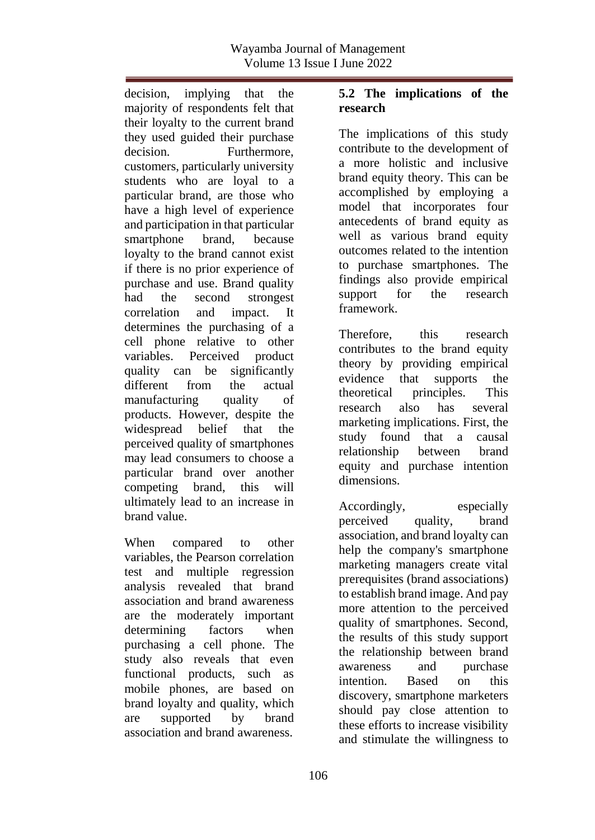decision, implying that the majority of respondents felt that their loyalty to the current brand they used guided their purchase decision. Furthermore, customers, particularly university students who are loyal to a particular brand, are those who have a high level of experience and participation in that particular smartphone brand, because loyalty to the brand cannot exist if there is no prior experience of purchase and use. Brand quality had the second strongest correlation and impact. It determines the purchasing of a cell phone relative to other variables. Perceived product quality can be significantly different from the actual manufacturing quality of products. However, despite the widespread belief that the perceived quality of smartphones may lead consumers to choose a particular brand over another competing brand, this will ultimately lead to an increase in brand value.

When compared to other variables, the Pearson correlation test and multiple regression analysis revealed that brand association and brand awareness are the moderately important determining factors when purchasing a cell phone. The study also reveals that even functional products, such as mobile phones, are based on brand loyalty and quality, which are supported by brand association and brand awareness.

### **5.2 The implications of the research**

The implications of this study contribute to the development of a more holistic and inclusive brand equity theory. This can be accomplished by employing a model that incorporates four antecedents of brand equity as well as various brand equity outcomes related to the intention to purchase smartphones. The findings also provide empirical support for the research framework.

Therefore, this research contributes to the brand equity theory by providing empirical evidence that supports the theoretical principles. This research also has several marketing implications. First, the study found that a causal relationship between brand equity and purchase intention dimensions.

Accordingly, especially perceived quality, brand association, and brand loyalty can help the company's smartphone marketing managers create vital prerequisites (brand associations) to establish brand image. And pay more attention to the perceived quality of smartphones. Second, the results of this study support the relationship between brand awareness and purchase intention. Based on this discovery, smartphone marketers should pay close attention to these efforts to increase visibility and stimulate the willingness to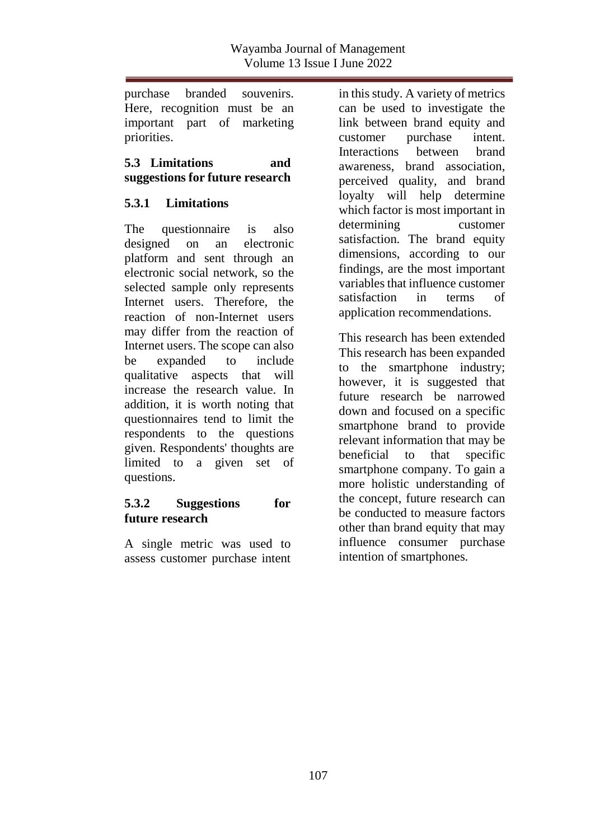purchase branded souvenirs. Here, recognition must be an important part of marketing priorities.

**5.3 Limitations and suggestions for future research**

# **5.3.1 Limitations**

The questionnaire is also designed on an electronic platform and sent through an electronic social network, so the selected sample only represents Internet users. Therefore, the reaction of non-Internet users may differ from the reaction of Internet users. The scope can also be expanded to include qualitative aspects that will increase the research value. In addition, it is worth noting that questionnaires tend to limit the respondents to the questions given. Respondents' thoughts are limited to a given set of questions.

#### **5.3.2 Suggestions for future research**

A single metric was used to assess customer purchase intent in this study. A variety of metrics can be used to investigate the link between brand equity and customer purchase intent. Interactions between brand awareness, brand association perceived quality, and brand loyalty will help determine which factor is most important in determining customer satisfaction. The brand equity dimensions, according to our findings, are the most important variables that influence customer satisfaction in terms of application recommendations.

This research has been extended This research has been expanded to the smartphone industry; however, it is suggested that future research be narrowed down and focused on a specific smartphone brand to provide relevant information that may be beneficial to that specific smartphone company. To gain a more holistic understanding of the concept, future research can be conducted to measure factors other than brand equity that may influence consumer purchase intention of smartphones.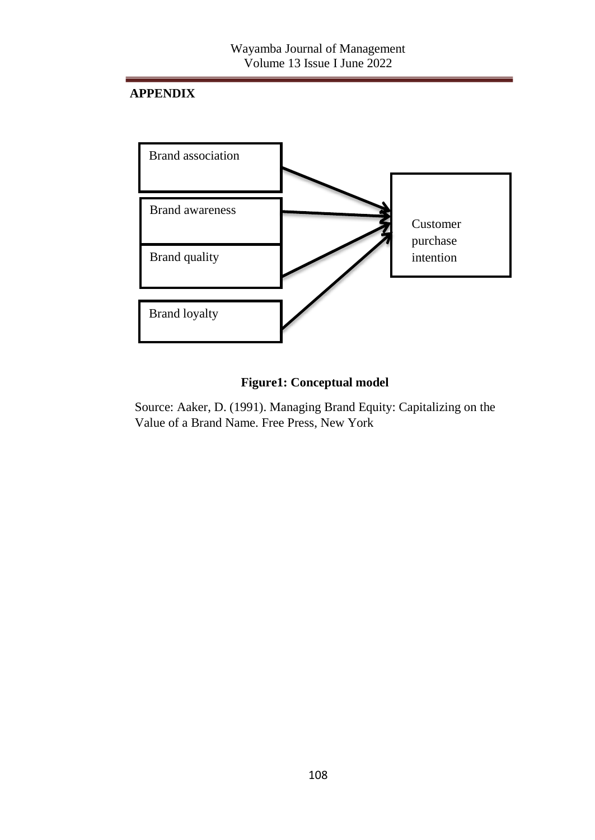# **APPENDIX**



# **Figure1: Conceptual model**

Source: Aaker, D. (1991). Managing Brand Equity: Capitalizing on the Value of a Brand Name. Free Press, New York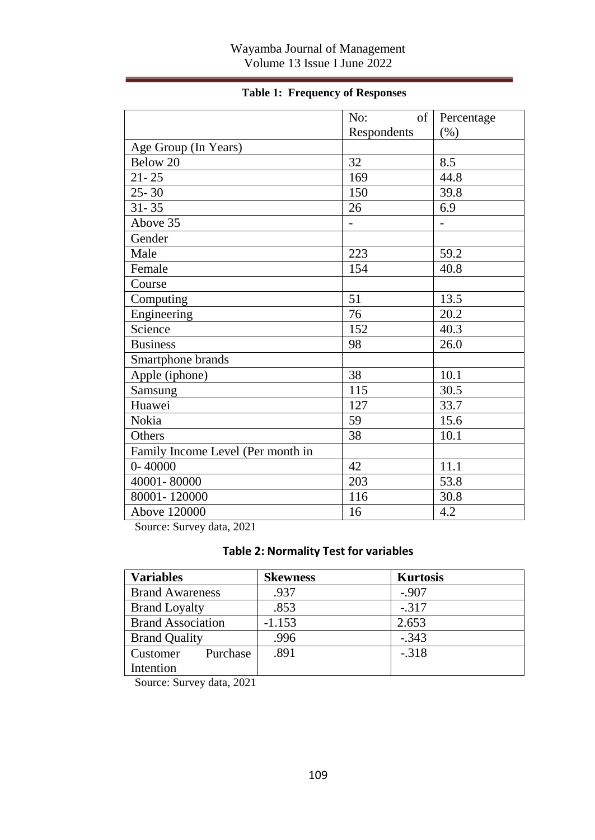### Wayamba Journal of Management Volume 13 Issue I June 2022

|  |  | <b>Table 1: Frequency of Responses</b> |
|--|--|----------------------------------------|
|--|--|----------------------------------------|

|                                   | of<br>No:   | Percentage |
|-----------------------------------|-------------|------------|
|                                   | Respondents | (% )       |
| Age Group (In Years)              |             |            |
| Below 20                          | 32          | 8.5        |
| $21 - 25$                         | 169         | 44.8       |
| $25 - 30$                         | 150         | 39.8       |
| $31 - 35$                         | 26          | 6.9        |
| Above 35                          |             |            |
| Gender                            |             |            |
| Male                              | 223         | 59.2       |
| Female                            | 154         | 40.8       |
| Course                            |             |            |
| Computing                         | 51          | 13.5       |
| Engineering                       | 76          | 20.2       |
| Science                           | 152         | 40.3       |
| <b>Business</b>                   | 98          | 26.0       |
| Smartphone brands                 |             |            |
| Apple (iphone)                    | 38          | 10.1       |
| Samsung                           | 115         | 30.5       |
| Huawei                            | 127         | 33.7       |
| Nokia                             | 59          | 15.6       |
| Others                            | 38          | 10.1       |
| Family Income Level (Per month in |             |            |
| $0 - 40000$                       | 42          | 11.1       |
| 40001-80000                       | 203         | 53.8       |
| 80001-120000                      | 116         | 30.8       |
| Above 120000                      | 16          | 4.2        |

Source: Survey data, 2021

### **Table 2: Normality Test for variables**

| Variables                | <b>Skewness</b> | <b>Kurtosis</b> |
|--------------------------|-----------------|-----------------|
| <b>Brand Awareness</b>   | .937            | $-.907$         |
| <b>Brand Loyalty</b>     | $-.317$<br>.853 |                 |
| <b>Brand Association</b> | $-1.153$        | 2.653           |
| <b>Brand Quality</b>     | .996            | $-.343$         |
| Purchase<br>Customer     | .891            | $-.318$         |
| Intention                |                 |                 |

Source: Survey data, 2021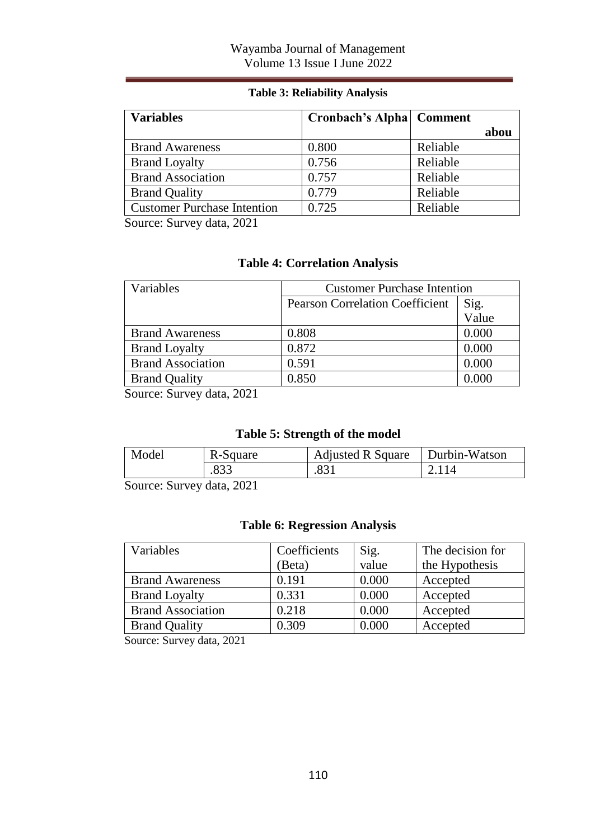#### **Table 3: Reliability Analysis**

| <b>Variables</b>                   | <b>Cronbach's Alpha   Comment</b> |          |      |
|------------------------------------|-----------------------------------|----------|------|
|                                    |                                   |          | abou |
| <b>Brand Awareness</b>             | 0.800                             | Reliable |      |
| <b>Brand Loyalty</b>               | 0.756                             | Reliable |      |
| <b>Brand Association</b>           | 0.757                             | Reliable |      |
| <b>Brand Quality</b>               | 0.779                             | Reliable |      |
| <b>Customer Purchase Intention</b> | 0.725                             | Reliable |      |

Source: Survey data, 2021

### **Table 4: Correlation Analysis**

| Variables                | <b>Customer Purchase Intention</b>                      |       |
|--------------------------|---------------------------------------------------------|-------|
|                          | Sig.<br>Value<br><b>Pearson Correlation Coefficient</b> |       |
|                          |                                                         |       |
| <b>Brand Awareness</b>   | 0.808                                                   | 0.000 |
| <b>Brand Loyalty</b>     | 0.872                                                   | 0.000 |
| <b>Brand Association</b> | 0.591                                                   | 0.000 |
| <b>Brand Quality</b>     | 0.850                                                   | 0.000 |

Source: Survey data, 2021

# **Table 5: Strength of the model**

| Model<br>R-Square |      | <b>Adjusted R Square</b> | Durbin-Watson |  |
|-------------------|------|--------------------------|---------------|--|
|                   | .833 | 831                      | 2.114         |  |
| $\sim$            | ---- |                          |               |  |

Source: Survey data, 2021

#### **Table 6: Regression Analysis**

| Variables                | Coefficients | Sig.  | The decision for |
|--------------------------|--------------|-------|------------------|
|                          | (Beta)       | value | the Hypothesis   |
| <b>Brand Awareness</b>   | 0.191        | 0.000 | Accepted         |
| <b>Brand Loyalty</b>     | 0.331        | 0.000 | Accepted         |
| <b>Brand Association</b> | 0.218        | 0.000 | Accepted         |
| <b>Brand Quality</b>     | 0.309        | 0.000 | Accepted         |

Source: Survey data, 2021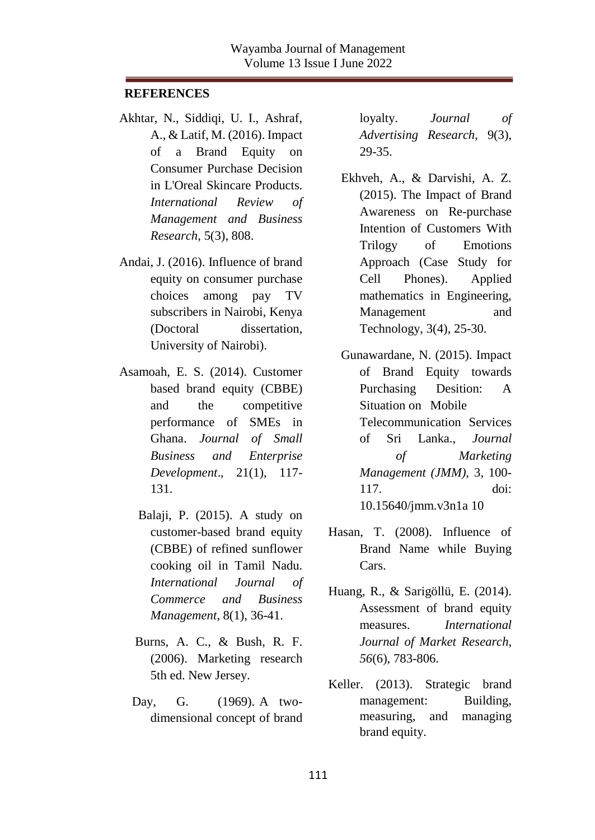#### **REFERENCES**

- Akhtar, N., Siddiqi, U. I., Ashraf, A., & Latif, M. (2016). Impact of a Brand Equity on Consumer Purchase Decision in L'Oreal Skincare Products. *International Review of Management and Business Research*, 5(3), 808.
- Andai, J. (2016). Influence of brand equity on consumer purchase choices among pay TV subscribers in Nairobi, Kenya (Doctoral dissertation, University of Nairobi).
- Asamoah, E. S. (2014). Customer based brand equity (CBBE) and the competitive performance of SMEs in Ghana. *Journal of Small Business and Enterprise Development*., 21(1), 117- 131.
	- Balaji, P. (2015). A study on customer-based brand equity (CBBE) of refined sunflower cooking oil in Tamil Nadu*. International Journal of Commerce and Business Management*, 8(1), 36-41.
	- Burns, A. C., & Bush, R. F. (2006). Marketing research 5th ed. New Jersey.
	- Day, G. (1969). A twodimensional concept of brand

loyalty. *Journal of Advertising Research*, 9(3), 29-35.

- Ekhveh, A., & Darvishi, A. Z. (2015). The Impact of Brand Awareness on Re-purchase Intention of Customers With Trilogy of Emotions Approach (Case Study for Cell Phones). Applied mathematics in Engineering, Management and Technology, 3(4), 25-30.
- Gunawardane, N. (2015). Impact of Brand Equity towards Purchasing Desition: A Situation on Mobile Telecommunication Services of Sri Lanka., *Journal of Marketing Management (JMM),* 3, 100- 117. doi: 10.15640/jmm.v3n1a 10
- Hasan, T. (2008). Influence of Brand Name while Buying Cars.
- Huang, R., & Sarigöllü, E. (2014). Assessment of brand equity measures. *International Journal of Market Research*, *56*(6), 783-806.
- Keller. (2013). Strategic brand management: Building, measuring, and managing brand equity.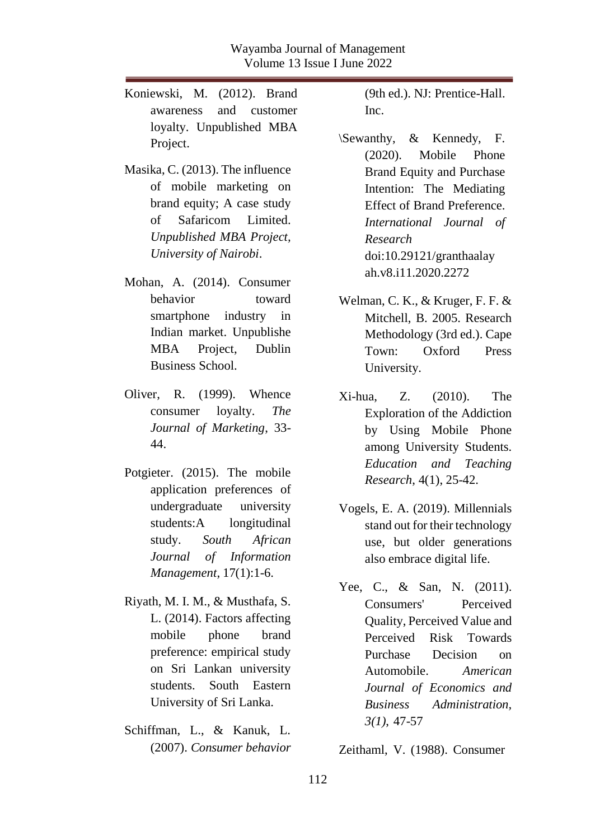- Koniewski, M. (2012). Brand awareness and customer loyalty. Unpublished MBA Project.
- Masika, C. (2013). The influence of mobile marketing on brand equity; A case study of Safaricom Limited. *Unpublished MBA Project, University of Nairobi*.
- Mohan, A. (2014). Consumer behavior toward smartphone industry in Indian market. Unpublishe MBA Project, Dublin Business School.
- Oliver, R. (1999). Whence consumer loyalty. *The Journal of Marketing*, 33- 44.
- Potgieter. (2015). The mobile application preferences of undergraduate university students:A longitudinal study. *South African Journal of Information Management*, 17(1):1-6.
- Riyath, M. I. M., & Musthafa, S. L. (2014). Factors affecting mobile phone brand preference: empirical study on Sri Lankan university students. South Eastern University of Sri Lanka.
- Schiffman, L., & Kanuk, L. (2007). *Consumer behavior*

(9th ed.). NJ: Prentice-Hall. Inc.

- \Sewanthy, & Kennedy, F. (2020). Mobile Phone Brand Equity and Purchase Intention: The Mediating Effect of Brand Preference. *International Journal of Research*  doi:10.29121/granthaalay ah.v8.i11.2020.2272
- Welman, C. K., & Kruger, F. F. & Mitchell, B. 2005. Research Methodology (3rd ed.). Cape Town: Oxford Press University.
- Xi-hua, Z. (2010). The Exploration of the Addiction by Using Mobile Phone among University Students. *Education and Teaching Research*, 4(1), 25-42.
- Vogels, E. A. (2019). Millennials stand out for their technology use, but older generations also embrace digital life.
- Yee, C., & San, N. (2011). Consumers' Perceived Quality, Perceived Value and Perceived Risk Towards Purchase Decision on Automobile. *American Journal of Economics and Business Administration, 3(1)*, 47-57

Zeithaml, V. (1988). Consumer